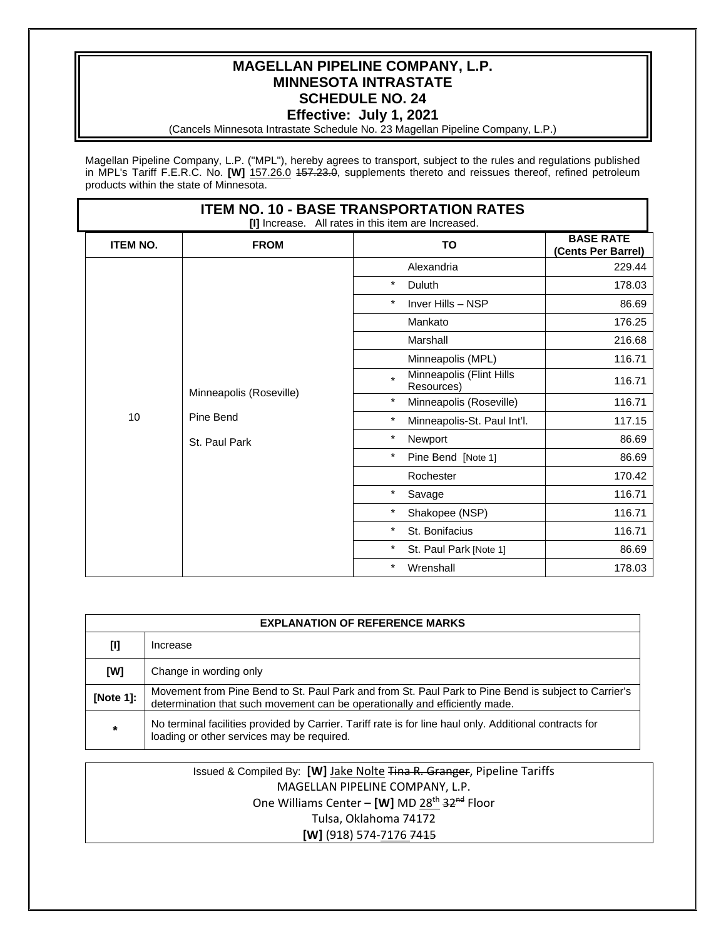## **MAGELLAN PIPELINE COMPANY, L.P. MINNESOTA INTRASTATE SCHEDULE NO. 24 Effective: July 1, 2021**

(Cancels Minnesota Intrastate Schedule No. 23 Magellan Pipeline Company, L.P.)

Magellan Pipeline Company, L.P. ("MPL"), hereby agrees to transport, subject to the rules and regulations published in MPL's Tariff F.E.R.C. No. **[W]** 157.26.0 457.23.0, supplements thereto and reissues thereof, refined petroleum products within the state of Minnesota.

| <b>ITEM NO. 10 - BASE TRANSPORTATION RATES</b><br>[I] Increase. All rates in this item are Increased. |                                                       |                                                   |                                        |  |  |
|-------------------------------------------------------------------------------------------------------|-------------------------------------------------------|---------------------------------------------------|----------------------------------------|--|--|
| <b>ITEM NO.</b>                                                                                       | <b>FROM</b>                                           | TO                                                | <b>BASE RATE</b><br>(Cents Per Barrel) |  |  |
|                                                                                                       | Minneapolis (Roseville)<br>Pine Bend<br>St. Paul Park | Alexandria                                        | 229.44                                 |  |  |
|                                                                                                       |                                                       | $\star$<br>Duluth                                 | 178.03                                 |  |  |
|                                                                                                       |                                                       | $\star$<br>Inver Hills - NSP                      | 86.69                                  |  |  |
|                                                                                                       |                                                       | Mankato                                           | 176.25                                 |  |  |
|                                                                                                       |                                                       | Marshall                                          | 216.68                                 |  |  |
|                                                                                                       |                                                       | Minneapolis (MPL)                                 | 116.71                                 |  |  |
|                                                                                                       |                                                       | Minneapolis (Flint Hills<br>$\star$<br>Resources) | 116.71                                 |  |  |
|                                                                                                       |                                                       | $\star$<br>Minneapolis (Roseville)                | 116.71                                 |  |  |
| 10                                                                                                    |                                                       | $\star$<br>Minneapolis-St. Paul Int'l.            | 117.15                                 |  |  |
|                                                                                                       |                                                       | $\star$<br>Newport                                | 86.69                                  |  |  |
|                                                                                                       |                                                       | $\star$<br>Pine Bend [Note 1]                     | 86.69                                  |  |  |
|                                                                                                       |                                                       | Rochester                                         | 170.42                                 |  |  |
|                                                                                                       |                                                       | $\star$<br>Savage                                 | 116.71                                 |  |  |
|                                                                                                       |                                                       | $\star$<br>Shakopee (NSP)                         | 116.71                                 |  |  |
|                                                                                                       |                                                       | $\star$<br>St. Bonifacius                         | 116.71                                 |  |  |
|                                                                                                       |                                                       | $\star$<br>St. Paul Park [Note 1]                 | 86.69                                  |  |  |
|                                                                                                       |                                                       | $\star$<br>Wrenshall                              | 178.03                                 |  |  |

| <b>EXPLANATION OF REFERENCE MARKS</b> |                                                                                                                                                                                     |  |  |  |
|---------------------------------------|-------------------------------------------------------------------------------------------------------------------------------------------------------------------------------------|--|--|--|
| [I]                                   | Increase                                                                                                                                                                            |  |  |  |
| [W]                                   | Change in wording only                                                                                                                                                              |  |  |  |
| [Note 1]:                             | Movement from Pine Bend to St. Paul Park and from St. Paul Park to Pine Bend is subject to Carrier's<br>determination that such movement can be operationally and efficiently made. |  |  |  |
| $\star$                               | No terminal facilities provided by Carrier. Tariff rate is for line haul only. Additional contracts for<br>loading or other services may be required.                               |  |  |  |

Issued & Compiled By: **[W]** Jake Nolte Tina R. Granger, Pipeline Tariffs MAGELLAN PIPELINE COMPANY, L.P. One Williams Center - [W] MD 28<sup>th</sup> 32<sup>nd</sup> Floor Tulsa, Oklahoma 74172 **[W]** (918) 574-7176 7415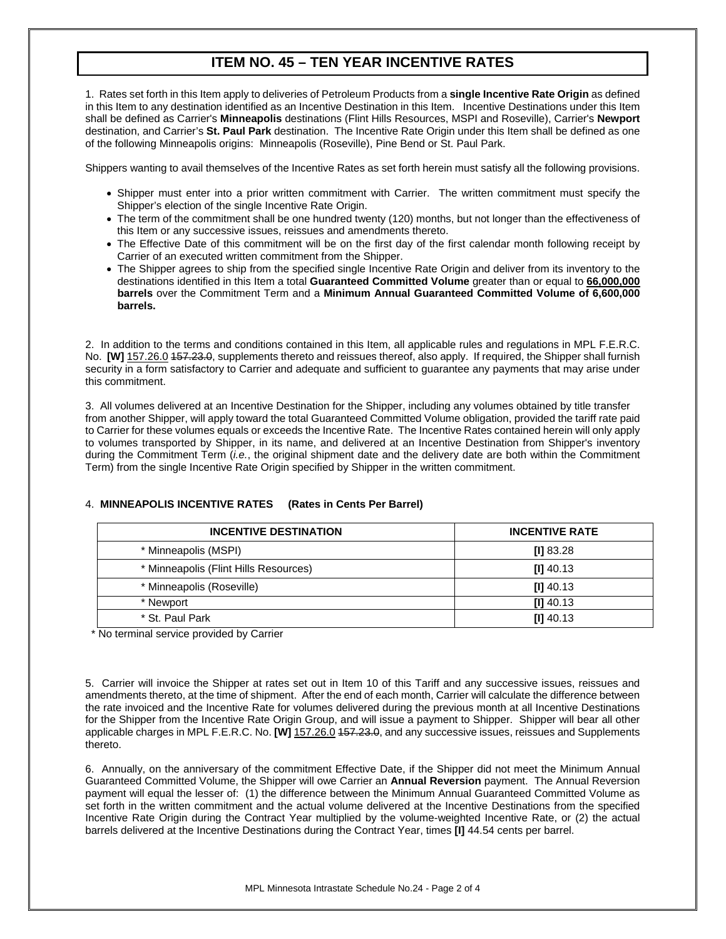# **ITEM NO. 45 – TEN YEAR INCENTIVE RATES**

1. Rates set forth in this Item apply to deliveries of Petroleum Products from a **single Incentive Rate Origin** as defined in this Item to any destination identified as an Incentive Destination in this Item. Incentive Destinations under this Item shall be defined as Carrier's **Minneapolis** destinations (Flint Hills Resources, MSPI and Roseville), Carrier's **Newport** destination, and Carrier's **St. Paul Park** destination. The Incentive Rate Origin under this Item shall be defined as one of the following Minneapolis origins: Minneapolis (Roseville), Pine Bend or St. Paul Park.

Shippers wanting to avail themselves of the Incentive Rates as set forth herein must satisfy all the following provisions.

- Shipper must enter into a prior written commitment with Carrier. The written commitment must specify the Shipper's election of the single Incentive Rate Origin.
- The term of the commitment shall be one hundred twenty (120) months, but not longer than the effectiveness of this Item or any successive issues, reissues and amendments thereto.
- The Effective Date of this commitment will be on the first day of the first calendar month following receipt by Carrier of an executed written commitment from the Shipper.
- The Shipper agrees to ship from the specified single Incentive Rate Origin and deliver from its inventory to the destinations identified in this Item a total **Guaranteed Committed Volume** greater than or equal to **66,000,000 barrels** over the Commitment Term and a **Minimum Annual Guaranteed Committed Volume of 6,600,000 barrels.**

2. In addition to the terms and conditions contained in this Item, all applicable rules and regulations in MPL F.E.R.C. No. **[W]** 157.26.0 157.23.0, supplements thereto and reissues thereof, also apply. If required, the Shipper shall furnish security in a form satisfactory to Carrier and adequate and sufficient to guarantee any payments that may arise under this commitment.

3. All volumes delivered at an Incentive Destination for the Shipper, including any volumes obtained by title transfer from another Shipper, will apply toward the total Guaranteed Committed Volume obligation, provided the tariff rate paid to Carrier for these volumes equals or exceeds the Incentive Rate. The Incentive Rates contained herein will only apply to volumes transported by Shipper, in its name, and delivered at an Incentive Destination from Shipper's inventory during the Commitment Term (*i.e.*, the original shipment date and the delivery date are both within the Commitment Term) from the single Incentive Rate Origin specified by Shipper in the written commitment.

| <b>INCENTIVE DESTINATION</b>          | <b>INCENTIVE RATE</b> |
|---------------------------------------|-----------------------|
| * Minneapolis (MSPI)                  | [1] 83.28             |
| * Minneapolis (Flint Hills Resources) | $[1]$ 40.13           |
| * Minneapolis (Roseville)             | $[1]$ 40.13           |
| * Newport                             | $[1]$ 40.13           |
| * St. Paul Park                       | $[1]$ 40.13           |

#### 4. **MINNEAPOLIS INCENTIVE RATES (Rates in Cents Per Barrel)**

\* No terminal service provided by Carrier

5. Carrier will invoice the Shipper at rates set out in Item 10 of this Tariff and any successive issues, reissues and amendments thereto, at the time of shipment. After the end of each month, Carrier will calculate the difference between the rate invoiced and the Incentive Rate for volumes delivered during the previous month at all Incentive Destinations for the Shipper from the Incentive Rate Origin Group, and will issue a payment to Shipper. Shipper will bear all other applicable charges in MPL F.E.R.C. No. **[W]** 157.26.0 157.23.0, and any successive issues, reissues and Supplements thereto.

6. Annually, on the anniversary of the commitment Effective Date, if the Shipper did not meet the Minimum Annual Guaranteed Committed Volume, the Shipper will owe Carrier an **Annual Reversion** payment. The Annual Reversion payment will equal the lesser of: (1) the difference between the Minimum Annual Guaranteed Committed Volume as set forth in the written commitment and the actual volume delivered at the Incentive Destinations from the specified Incentive Rate Origin during the Contract Year multiplied by the volume-weighted Incentive Rate, or (2) the actual barrels delivered at the Incentive Destinations during the Contract Year, times **[I]** 44.54 cents per barrel.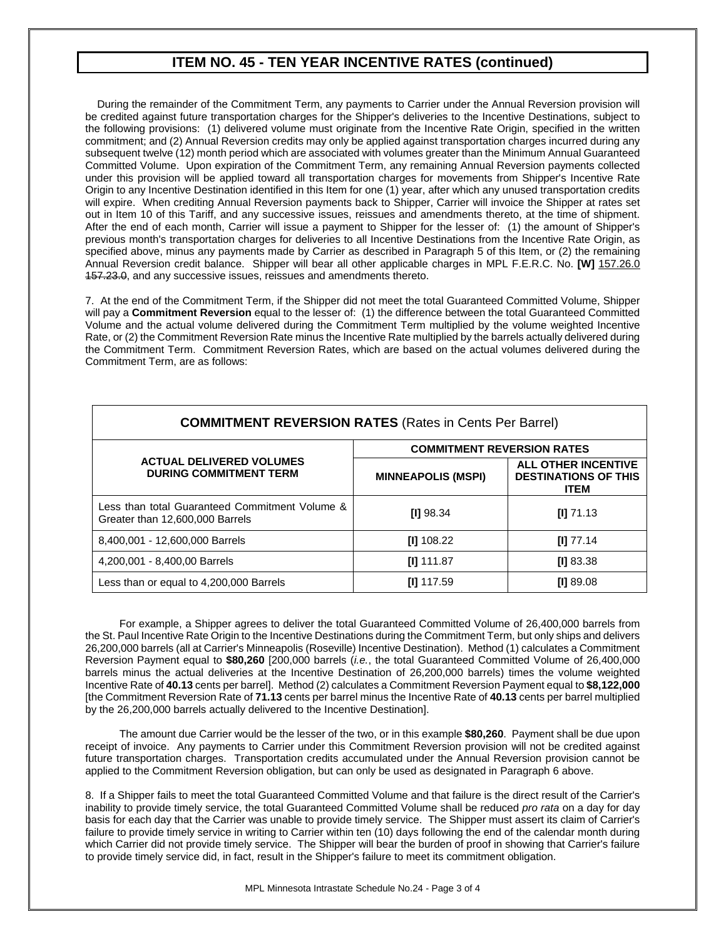## **ITEM NO. 45 - TEN YEAR INCENTIVE RATES (continued)**

 During the remainder of the Commitment Term, any payments to Carrier under the Annual Reversion provision will be credited against future transportation charges for the Shipper's deliveries to the Incentive Destinations, subject to the following provisions: (1) delivered volume must originate from the Incentive Rate Origin, specified in the written commitment; and (2) Annual Reversion credits may only be applied against transportation charges incurred during any subsequent twelve (12) month period which are associated with volumes greater than the Minimum Annual Guaranteed Committed Volume. Upon expiration of the Commitment Term, any remaining Annual Reversion payments collected under this provision will be applied toward all transportation charges for movements from Shipper's Incentive Rate Origin to any Incentive Destination identified in this Item for one (1) year, after which any unused transportation credits will expire. When crediting Annual Reversion payments back to Shipper, Carrier will invoice the Shipper at rates set out in Item 10 of this Tariff, and any successive issues, reissues and amendments thereto, at the time of shipment. After the end of each month, Carrier will issue a payment to Shipper for the lesser of: (1) the amount of Shipper's previous month's transportation charges for deliveries to all Incentive Destinations from the Incentive Rate Origin, as specified above, minus any payments made by Carrier as described in Paragraph 5 of this Item, or (2) the remaining Annual Reversion credit balance. Shipper will bear all other applicable charges in MPL F.E.R.C. No. **[W]** 157.26.0 157.23.0, and any successive issues, reissues and amendments thereto.

7. At the end of the Commitment Term, if the Shipper did not meet the total Guaranteed Committed Volume, Shipper will pay a **Commitment Reversion** equal to the lesser of: (1) the difference between the total Guaranteed Committed Volume and the actual volume delivered during the Commitment Term multiplied by the volume weighted Incentive Rate, or (2) the Commitment Reversion Rate minus the Incentive Rate multiplied by the barrels actually delivered during the Commitment Term. Commitment Reversion Rates, which are based on the actual volumes delivered during the Commitment Term, are as follows:

| <b>COMMITMENT REVERSION RATES (Rates in Cents Per Barrel)</b>                     |                                   |                                                                          |  |  |  |
|-----------------------------------------------------------------------------------|-----------------------------------|--------------------------------------------------------------------------|--|--|--|
|                                                                                   | <b>COMMITMENT REVERSION RATES</b> |                                                                          |  |  |  |
| <b>ACTUAL DELIVERED VOLUMES</b><br><b>DURING COMMITMENT TERM</b>                  | <b>MINNEAPOLIS (MSPI)</b>         | <b>ALL OTHER INCENTIVE</b><br><b>DESTINATIONS OF THIS</b><br><b>ITEM</b> |  |  |  |
| Less than total Guaranteed Commitment Volume &<br>Greater than 12,600,000 Barrels | <b>III</b> 98.34                  | $[1]$ 71.13                                                              |  |  |  |
| 8,400,001 - 12,600,000 Barrels                                                    | $[1]$ 108.22                      | $III$ 77.14                                                              |  |  |  |
| 4,200,001 - 8,400,00 Barrels                                                      | <b>III</b> 111.87                 | [1] 83.38                                                                |  |  |  |
| Less than or equal to 4,200,000 Barrels                                           | $III$ 117.59                      | [1] 89.08                                                                |  |  |  |

For example, a Shipper agrees to deliver the total Guaranteed Committed Volume of 26,400,000 barrels from the St. Paul Incentive Rate Origin to the Incentive Destinations during the Commitment Term, but only ships and delivers 26,200,000 barrels (all at Carrier's Minneapolis (Roseville) Incentive Destination). Method (1) calculates a Commitment Reversion Payment equal to **\$80,260** [200,000 barrels (*i.e.*, the total Guaranteed Committed Volume of 26,400,000 barrels minus the actual deliveries at the Incentive Destination of 26,200,000 barrels) times the volume weighted Incentive Rate of **40.13** cents per barrel]. Method (2) calculates a Commitment Reversion Payment equal to **\$8,122,000** [the Commitment Reversion Rate of **71.13** cents per barrel minus the Incentive Rate of **40.13** cents per barrel multiplied by the 26,200,000 barrels actually delivered to the Incentive Destination].

The amount due Carrier would be the lesser of the two, or in this example **\$80,260**. Payment shall be due upon receipt of invoice. Any payments to Carrier under this Commitment Reversion provision will not be credited against future transportation charges. Transportation credits accumulated under the Annual Reversion provision cannot be applied to the Commitment Reversion obligation, but can only be used as designated in Paragraph 6 above.

8. If a Shipper fails to meet the total Guaranteed Committed Volume and that failure is the direct result of the Carrier's inability to provide timely service, the total Guaranteed Committed Volume shall be reduced *pro rata* on a day for day basis for each day that the Carrier was unable to provide timely service. The Shipper must assert its claim of Carrier's failure to provide timely service in writing to Carrier within ten (10) days following the end of the calendar month during which Carrier did not provide timely service. The Shipper will bear the burden of proof in showing that Carrier's failure to provide timely service did, in fact, result in the Shipper's failure to meet its commitment obligation.